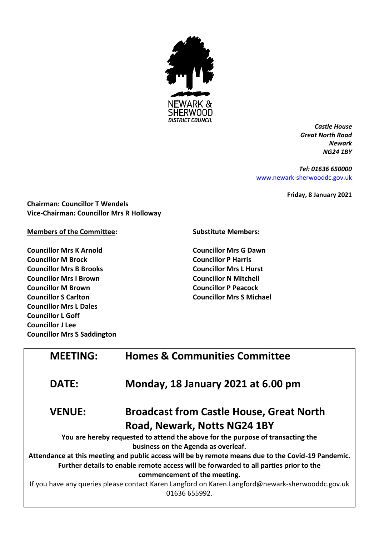

*Castle House Great North Road Newark NG24 1BY*

*Tel: 01636 650000* [www.newark-sherwooddc.gov.uk](http://www.newark-sherwooddc.gov.uk/)

**Friday, 8 January 2021**

**Chairman: Councillor T Wendels Vice-Chairman: Councillor Mrs R Holloway**

**Members of the Committee:**

**Councillor Mrs K Arnold Councillor M Brock Councillor Mrs B Brooks Councillor Mrs I Brown Councillor M Brown Councillor S Carlton Councillor Mrs L Dales Councillor L Goff Councillor J Lee Councillor Mrs S Saddington** **Substitute Members:**

**Councillor Mrs G Dawn Councillor P Harris Councillor Mrs L Hurst Councillor N Mitchell Councillor P Peacock Councillor Mrs S Michael**

| <b>MEETING:</b> | <b>Homes &amp; Communities Committee</b>                                                                          |
|-----------------|-------------------------------------------------------------------------------------------------------------------|
| <b>DATE:</b>    | Monday, 18 January 2021 at 6.00 pm                                                                                |
| <b>VENUE:</b>   | <b>Broadcast from Castle House, Great North</b>                                                                   |
|                 | Road, Newark, Notts NG24 1BY                                                                                      |
|                 | You are hereby requested to attend the above for the purpose of transacting the                                   |
|                 | business on the Agenda as overleaf.                                                                               |
|                 | Attendance at this meeting and public access will be by remote means due to the Covid-19 Pandemic.                |
|                 | Further details to enable remote access will be forwarded to all parties prior to the                             |
|                 | commencement of the meeting.                                                                                      |
|                 | If you have any queries please contact Karen Langford on Karen.Langford@newark-sherwooddc.gov.uk<br>01636 655992. |
|                 |                                                                                                                   |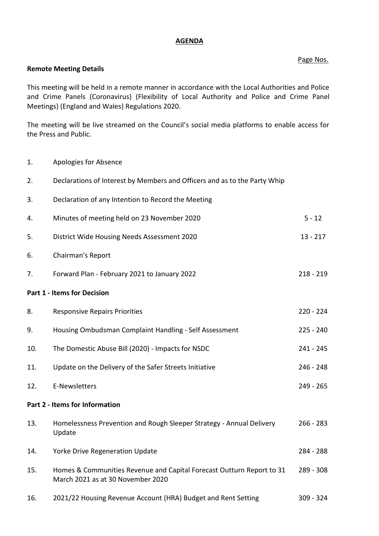## **AGENDA**

## Page Nos.

## **Remote Meeting Details**

This meeting will be held in a remote manner in accordance with the Local Authorities and Police and Crime Panels (Coronavirus) (Flexibility of Local Authority and Police and Crime Panel Meetings) (England and Wales) Regulations 2020.

The meeting will be live streamed on the Council's social media platforms to enable access for the Press and Public.

- 1. Apologies for Absence
- 2. Declarations of Interest by Members and Officers and as to the Party Whip 3. Declaration of any Intention to Record the Meeting 4. Minutes of meeting held on 23 November 2020 5 - 12 5. District Wide Housing Needs Assessment 2020 13 - 217 6. Chairman's Report 7. Forward Plan - February 2021 to January 2022 218 218 - 218 - 219 **Part 1 - Items for Decision** 8. Responsive Repairs Priorities 220 - 224 9. Housing Ombudsman Complaint Handling - Self Assessment 225 - 240 10. The Domestic Abuse Bill (2020) - Impacts for NSDC 241 - 245 11. Update on the Delivery of the Safer Streets Initiative 246 - 248 12. E-Newsletters 249 - 265 **Part 2 - Items for Information** 13. Homelessness Prevention and Rough Sleeper Strategy - Annual Delivery Update 266 - 283 14. Yorke Drive Regeneration Update 284 - 288 15. Homes & Communities Revenue and Capital Forecast Outturn Report to 31 March 2021 as at 30 November 2020 289 - 308 16. 2021/22 Housing Revenue Account (HRA) Budget and Rent Setting 309 - 324